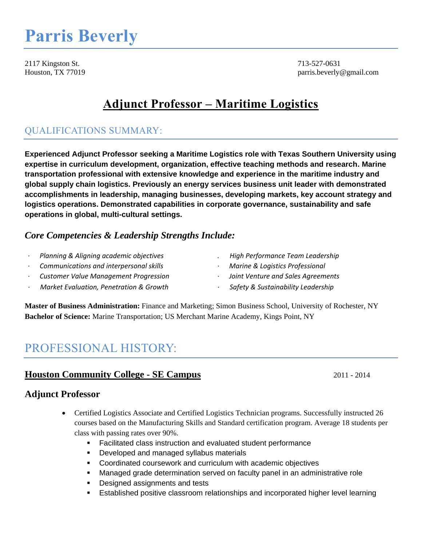# **Parris Beverly**

2117 Kingston St. 713-527-0631

Houston, TX 77019 parris.beverly@gmail.com

# **Adjunct Professor – Maritime Logistics**

# QUALIFICATIONS SUMMARY:

**Experienced Adjunct Professor seeking a Maritime Logistics role with Texas Southern University using expertise in curriculum development, organization, effective teaching methods and research. Marine transportation professional with extensive knowledge and experience in the maritime industry and global supply chain logistics. Previously an energy services business unit leader with demonstrated accomplishments in leadership, managing businesses, developing markets, key account strategy and logistics operations. Demonstrated capabilities in corporate governance, sustainability and safe operations in global, multi-cultural settings.**

## *Core Competencies & Leadership Strengths Include:*

- · *Planning & Aligning academic objectives . High Performance Team Leadership*
- · *Communications and interpersonal skills* · *Marine & Logistics Professional*
- · *Customer Value Management Progression* · *Joint Venture and Sales Agreements*
- *· Market Evaluation, Penetration & Growth · Safety & Sustainability Leadership*
- 
- 
- -

**Master of Business Administration:** Finance and Marketing; Simon Business School, University of Rochester, NY **Bachelor of Science:** Marine Transportation; US Merchant Marine Academy, Kings Point, NY

# PROFESSIONAL HISTORY:

# **Houston Community College - SE Campus** 2011 - 2014

# **Adjunct Professor**

- Certified Logistics Associate and Certified Logistics Technician programs. Successfully instructed 26 courses based on the Manufacturing Skills and Standard certification program. Average 18 students per class with passing rates over 90%.
	- **Facilitated class instruction and evaluated student performance**
	- **Developed and managed syllabus materials**
	- Coordinated coursework and curriculum with academic objectives
	- Managed grade determination served on faculty panel in an administrative role
	- **Designed assignments and tests**
	- Established positive classroom relationships and incorporated higher level learning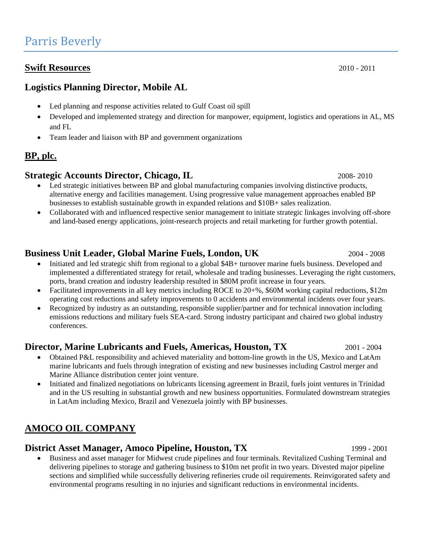#### **Swift Resources** 2010 - 2011

## **Logistics Planning Director, Mobile AL**

- Led planning and response activities related to Gulf Coast oil spill
- Developed and implemented strategy and direction for manpower, equipment, logistics and operations in AL, MS and FL
- Team leader and liaison with BP and government organizations

# **BP, plc.**

## **Strategic Accounts Director, Chicago, IL** 2008-2010

- Led strategic initiatives between BP and global manufacturing companies involving distinctive products, alternative energy and facilities management. Using progressive value management approaches enabled BP businesses to establish sustainable growth in expanded relations and \$10B+ sales realization.
- Collaborated with and influenced respective senior management to initiate strategic linkages involving off-shore and land-based energy applications, joint-research projects and retail marketing for further growth potential.

# **Business Unit Leader, Global Marine Fuels, London, UK** 2004 - 2008

- Initiated and led strategic shift from regional to a global \$4B+ turnover marine fuels business. Developed and implemented a differentiated strategy for retail, wholesale and trading businesses. Leveraging the right customers, ports, brand creation and industry leadership resulted in \$80M profit increase in four years.
- Facilitated improvements in all key metrics including ROCE to 20+%, \$60M working capital reductions, \$12m operating cost reductions and safety improvements to 0 accidents and environmental incidents over four years.
- Recognized by industry as an outstanding, responsible supplier/partner and for technical innovation including emissions reductions and military fuels SEA-card. Strong industry participant and chaired two global industry conferences.

## **Director, Marine Lubricants and Fuels, Americas, Houston, TX** 2001 - 2004

- Obtained P&L responsibility and achieved materiality and bottom-line growth in the US, Mexico and LatAm marine lubricants and fuels through integration of existing and new businesses including Castrol merger and Marine Alliance distribution center joint venture.
- Initiated and finalized negotiations on lubricants licensing agreement in Brazil, fuels joint ventures in Trinidad and in the US resulting in substantial growth and new business opportunities. Formulated downstream strategies in LatAm including Mexico, Brazil and Venezuela jointly with BP businesses.

# **AMOCO OIL COMPANY**

#### **District Asset Manager, Amoco Pipeline, Houston, TX** 1999 - 2001

 Business and asset manager for Midwest crude pipelines and four terminals. Revitalized Cushing Terminal and delivering pipelines to storage and gathering business to \$10m net profit in two years. Divested major pipeline sections and simplified while successfully delivering refineries crude oil requirements. Reinvigorated safety and environmental programs resulting in no injuries and significant reductions in environmental incidents.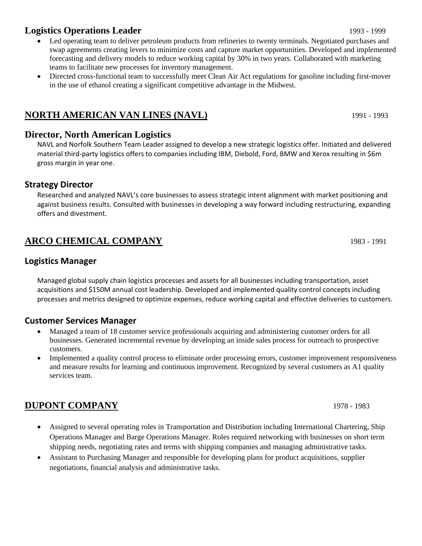# **Logistics Operations Leader** 1993 - 1999

- Led operating team to deliver petroleum products from refineries to twenty terminals. Negotiated purchases and swap agreements creating levers to minimize costs and capture market opportunities. Developed and implemented forecasting and delivery models to reduce working capital by 30% in two years. Collaborated with marketing teams to facilitate new processes for inventory management.
- Directed cross-functional team to successfully meet Clean Air Act regulations for gasoline including first-mover in the use of ethanol creating a significant competitive advantage in the Midwest.

# **NORTH AMERICAN VAN LINES (NAVL)** 1991 - 1993

#### **Director, North American Logistics**

NAVL and Norfolk Southern Team Leader assigned to develop a new strategic logistics offer. Initiated and delivered material third-party logistics offers to companies including IBM, Diebold, Ford, BMW and Xerox resulting in \$6m gross margin in year one.

#### **Strategy Director**

Researched and analyzed NAVL's core businesses to assess strategic intent alignment with market positioning and against business results. Consulted with businesses in developing a way forward including restructuring, expanding offers and divestment.

# **ARCO CHEMICAL COMPANY** 1983 - 1991

#### **Logistics Manager**

Managed global supply chain logistics processes and assets for all businesses including transportation, asset acquisitions and \$150M annual cost leadership. Developed and implemented quality control concepts including processes and metrics designed to optimize expenses, reduce working capital and effective deliveries to customers.

#### **Customer Services Manager**

- Managed a team of 18 customer service professionals acquiring and administering customer orders for all businesses. Generated incremental revenue by developing an inside sales process for outreach to prospective customers.
- Implemented a quality control process to eliminate order processing errors, customer improvement responsiveness and measure results for learning and continuous improvement. Recognized by several customers as A1 quality services team.

# **DUPONT COMPANY** 1978 - 1983

- Assigned to several operating roles in Transportation and Distribution including International Chartering, Ship Operations Manager and Barge Operations Manager. Roles required networking with businesses on short term shipping needs, negotiating rates and terms with shipping companies and managing administrative tasks.
- Assistant to Purchasing Manager and responsible for developing plans for product acquisitions, supplier negotiations, financial analysis and administrative tasks.